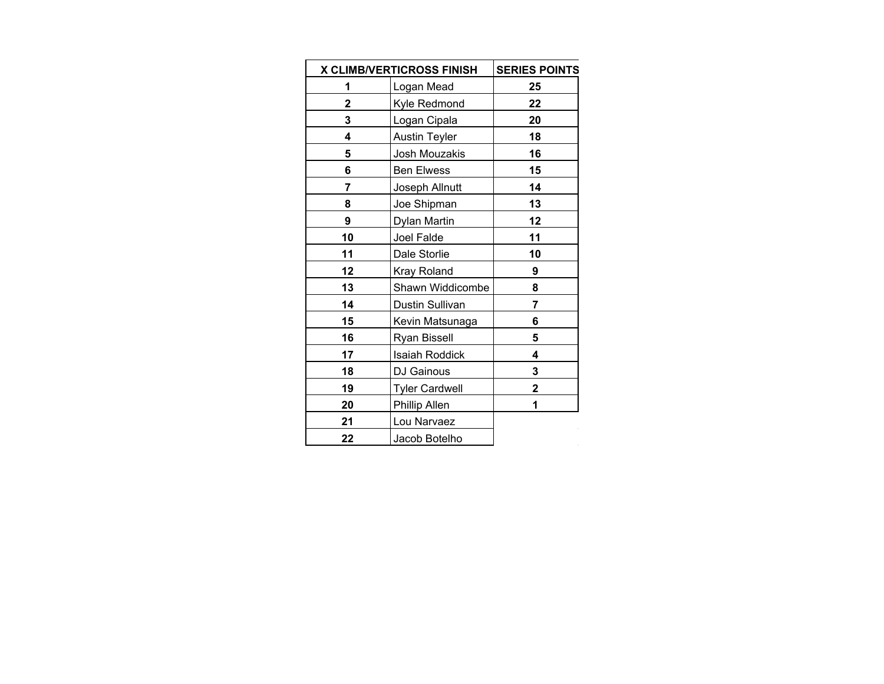|    | <b>X CLIMB/VERTICROSS FINISH</b> | <b>SERIES POINTS</b> |
|----|----------------------------------|----------------------|
| 1  | Logan Mead                       | 25                   |
| 2  | Kyle Redmond                     | 22                   |
| 3  | Logan Cipala                     | 20                   |
| 4  | <b>Austin Teyler</b>             | 18                   |
| 5  | Josh Mouzakis                    | 16                   |
| 6  | <b>Ben Elwess</b>                | 15                   |
| 7  | Joseph Allnutt                   | 14                   |
| 8  | Joe Shipman                      | 13                   |
| 9  | Dylan Martin                     | 12                   |
| 10 | Joel Falde                       | 11                   |
| 11 | Dale Storlie                     | 10                   |
| 12 | <b>Kray Roland</b>               | 9                    |
| 13 | Shawn Widdicombe                 | 8                    |
| 14 | Dustin Sullivan                  | 7                    |
| 15 | Kevin Matsunaga                  | 6                    |
| 16 | Ryan Bissell                     | 5                    |
| 17 | <b>Isaiah Roddick</b>            | 4                    |
| 18 | DJ Gainous                       | 3                    |
| 19 | <b>Tyler Cardwell</b>            | 2                    |
| 20 | Phillip Allen                    | 1                    |
| 21 | Lou Narvaez                      |                      |
| 22 | Jacob Botelho                    |                      |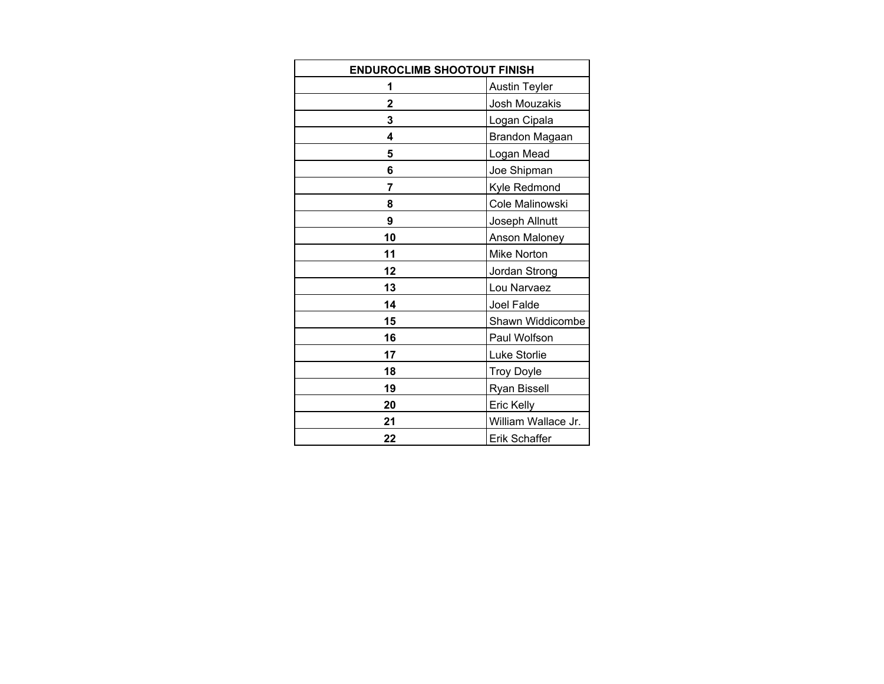| <b>ENDUROCLIMB SHOOTOUT FINISH</b> |                      |  |  |
|------------------------------------|----------------------|--|--|
| 1                                  | <b>Austin Teyler</b> |  |  |
| 2                                  | Josh Mouzakis        |  |  |
| 3                                  | Logan Cipala         |  |  |
| 4                                  | Brandon Magaan       |  |  |
| 5                                  | Logan Mead           |  |  |
| 6                                  | Joe Shipman          |  |  |
| 7                                  | Kyle Redmond         |  |  |
| 8                                  | Cole Malinowski      |  |  |
| 9                                  | Joseph Allnutt       |  |  |
| 10                                 | Anson Maloney        |  |  |
| 11                                 | <b>Mike Norton</b>   |  |  |
| 12                                 | Jordan Strong        |  |  |
| 13                                 | Lou Narvaez          |  |  |
| 14                                 | Joel Falde           |  |  |
| 15                                 | Shawn Widdicombe     |  |  |
| 16                                 | Paul Wolfson         |  |  |
| 17                                 | Luke Storlie         |  |  |
| 18                                 | <b>Troy Doyle</b>    |  |  |
| 19                                 | <b>Ryan Bissell</b>  |  |  |
| 20                                 | Eric Kelly           |  |  |
| 21                                 | William Wallace Jr.  |  |  |
| 22                                 | Erik Schaffer        |  |  |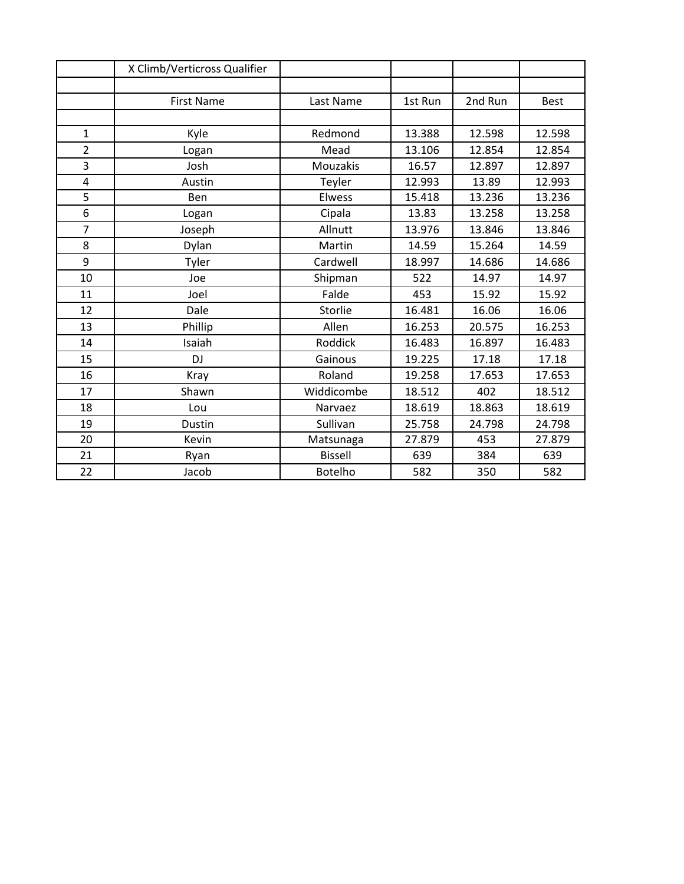|                | X Climb/Verticross Qualifier |                |         |         |             |
|----------------|------------------------------|----------------|---------|---------|-------------|
|                |                              |                |         |         |             |
|                | <b>First Name</b>            | Last Name      | 1st Run | 2nd Run | <b>Best</b> |
|                |                              |                |         |         |             |
| $\mathbf{1}$   | Kyle                         | Redmond        | 13.388  | 12.598  | 12.598      |
| $\overline{2}$ | Logan                        | Mead           | 13.106  | 12.854  | 12.854      |
| 3              | Josh                         | Mouzakis       | 16.57   | 12.897  | 12.897      |
| 4              | Austin                       | Teyler         | 12.993  | 13.89   | 12.993      |
| 5              | Ben                          | Elwess         | 15.418  | 13.236  | 13.236      |
| 6              | Logan                        | Cipala         | 13.83   | 13.258  | 13.258      |
| $\overline{7}$ | Joseph                       | Allnutt        | 13.976  | 13.846  | 13.846      |
| 8              | Dylan                        | Martin         | 14.59   | 15.264  | 14.59       |
| 9              | Tyler                        | Cardwell       | 18.997  | 14.686  | 14.686      |
| 10             | Joe                          | Shipman        | 522     | 14.97   | 14.97       |
| 11             | Joel                         | Falde          | 453     | 15.92   | 15.92       |
| 12             | Dale                         | Storlie        | 16.481  | 16.06   | 16.06       |
| 13             | Phillip                      | Allen          | 16.253  | 20.575  | 16.253      |
| 14             | Isaiah                       | Roddick        | 16.483  | 16.897  | 16.483      |
| 15             | <b>DJ</b>                    | Gainous        | 19.225  | 17.18   | 17.18       |
| 16             | Kray                         | Roland         | 19.258  | 17.653  | 17.653      |
| 17             | Shawn                        | Widdicombe     | 18.512  | 402     | 18.512      |
| 18             | Lou                          | Narvaez        | 18.619  | 18.863  | 18.619      |
| 19             | Dustin                       | Sullivan       | 25.758  | 24.798  | 24.798      |
| 20             | Kevin                        | Matsunaga      | 27.879  | 453     | 27.879      |
| 21             | Ryan                         | <b>Bissell</b> | 639     | 384     | 639         |
| 22             | Jacob                        | <b>Botelho</b> | 582     | 350     | 582         |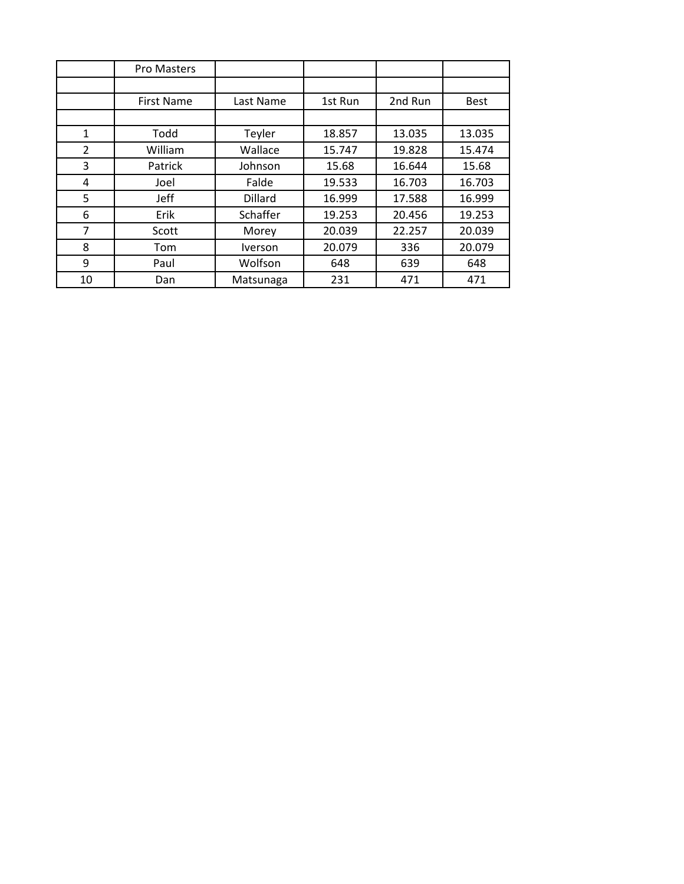|    | Pro Masters       |                |         |         |             |
|----|-------------------|----------------|---------|---------|-------------|
|    |                   |                |         |         |             |
|    | <b>First Name</b> | Last Name      | 1st Run | 2nd Run | <b>Best</b> |
|    |                   |                |         |         |             |
| 1  | Todd              | Teyler         | 18.857  | 13.035  | 13.035      |
| 2  | William           | Wallace        | 15.747  | 19.828  | 15.474      |
| 3  | Patrick           | Johnson        | 15.68   | 16.644  | 15.68       |
| 4  | Joel              | Falde          | 19.533  | 16.703  | 16.703      |
| 5  | Jeff              | Dillard        | 16.999  | 17.588  | 16.999      |
| 6  | Erik              | Schaffer       | 19.253  | 20.456  | 19.253      |
| 7  | Scott             | Morey          | 20.039  | 22.257  | 20.039      |
| 8  | Tom               | <b>Iverson</b> | 20.079  | 336     | 20.079      |
| 9  | Paul              | Wolfson        | 648     | 639     | 648         |
| 10 | Dan               | Matsunaga      | 231     | 471     | 471         |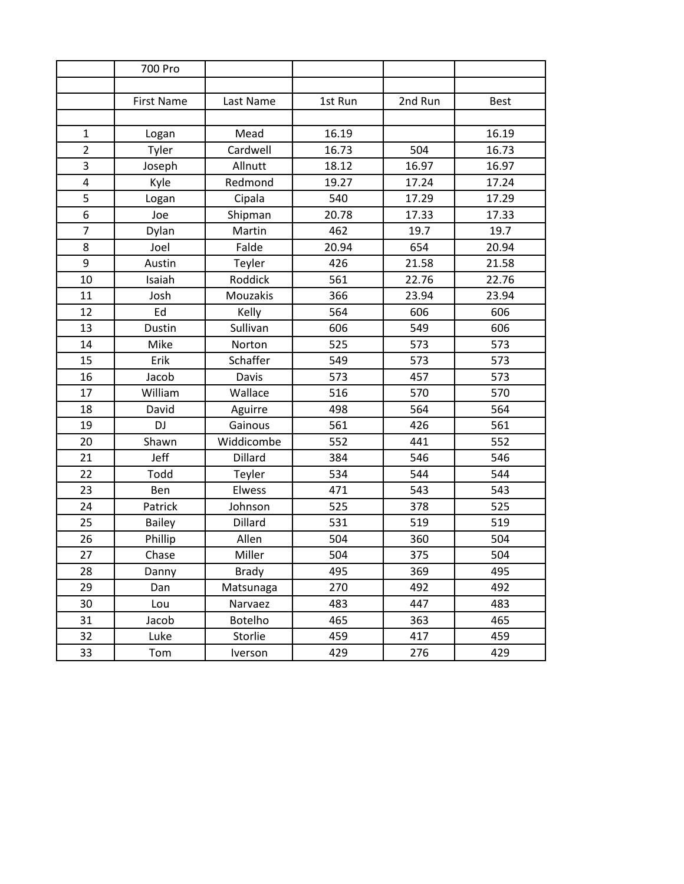|                         | 700 Pro           |              |         |         |             |
|-------------------------|-------------------|--------------|---------|---------|-------------|
|                         |                   |              |         |         |             |
|                         | <b>First Name</b> | Last Name    | 1st Run | 2nd Run | <b>Best</b> |
|                         |                   |              |         |         |             |
| 1                       | Logan             | Mead         | 16.19   |         | 16.19       |
| $\overline{2}$          | Tyler             | Cardwell     | 16.73   | 504     | 16.73       |
| 3                       | Joseph            | Allnutt      | 18.12   | 16.97   | 16.97       |
| $\overline{\mathbf{4}}$ | Kyle              | Redmond      | 19.27   | 17.24   | 17.24       |
| 5                       | Logan             | Cipala       | 540     | 17.29   | 17.29       |
| 6                       | Joe               | Shipman      | 20.78   | 17.33   | 17.33       |
| $\overline{7}$          | Dylan             | Martin       | 462     | 19.7    | 19.7        |
| 8                       | Joel              | Falde        | 20.94   | 654     | 20.94       |
| 9                       | Austin            | Teyler       | 426     | 21.58   | 21.58       |
| 10                      | Isaiah            | Roddick      | 561     | 22.76   | 22.76       |
| 11                      | Josh              | Mouzakis     | 366     | 23.94   | 23.94       |
| 12                      | Ed                | Kelly        | 564     | 606     | 606         |
| 13                      | Dustin            | Sullivan     | 606     | 549     | 606         |
| 14                      | Mike              | Norton       | 525     | 573     | 573         |
| 15                      | Erik              | Schaffer     | 549     | 573     | 573         |
| 16                      | Jacob             | Davis        | 573     | 457     | 573         |
| 17                      | William           | Wallace      | 516     | 570     | 570         |
| 18                      | David             | Aguirre      | 498     | 564     | 564         |
| 19                      | <b>DJ</b>         | Gainous      | 561     | 426     | 561         |
| 20                      | Shawn             | Widdicombe   | 552     | 441     | 552         |
| 21                      | Jeff              | Dillard      | 384     | 546     | 546         |
| 22                      | Todd              | Teyler       | 534     | 544     | 544         |
| 23                      | Ben               | Elwess       | 471     | 543     | 543         |
| 24                      | Patrick           | Johnson      | 525     | 378     | 525         |
| 25                      | <b>Bailey</b>     | Dillard      | 531     | 519     | 519         |
| 26                      | Phillip           | Allen        | 504     | 360     | 504         |
| 27                      | Chase             | Miller       | 504     | 375     | 504         |
| 28                      | Danny             | <b>Brady</b> | 495     | 369     | 495         |
| 29                      | Dan               | Matsunaga    | 270     | 492     | 492         |
| 30                      | Lou               | Narvaez      | 483     | 447     | 483         |
| 31                      | Jacob             | Botelho      | 465     | 363     | 465         |
| 32                      | Luke              | Storlie      | 459     | 417     | 459         |
| 33                      | Tom               | Iverson      | 429     | 276     | 429         |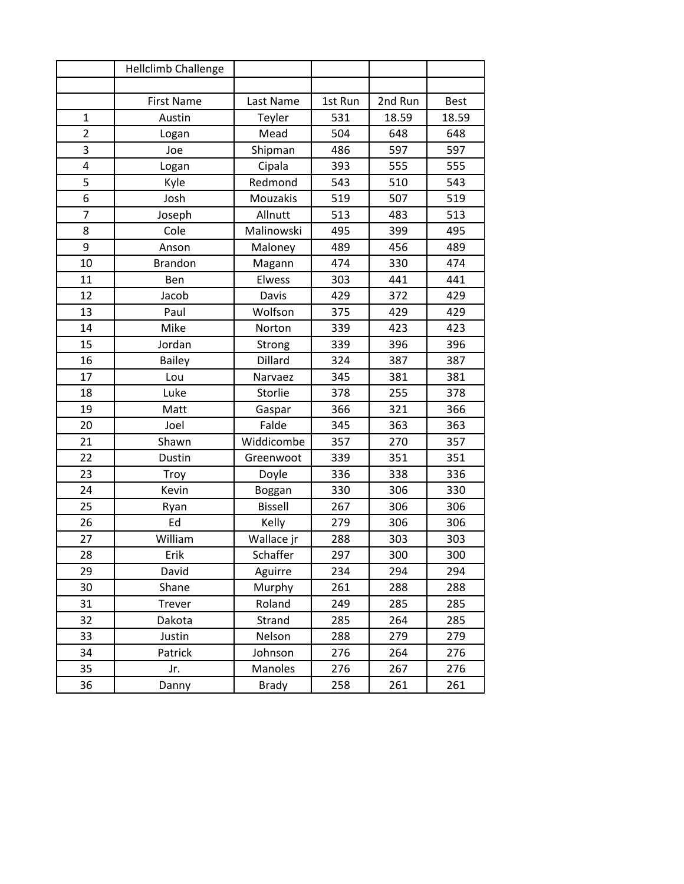|                         | Hellclimb Challenge |                |         |         |             |
|-------------------------|---------------------|----------------|---------|---------|-------------|
|                         |                     |                |         |         |             |
|                         | <b>First Name</b>   | Last Name      | 1st Run | 2nd Run | <b>Best</b> |
| $\mathbf{1}$            | Austin              | Teyler         | 531     | 18.59   | 18.59       |
| $\overline{2}$          | Logan               | Mead           | 504     | 648     | 648         |
| 3                       | Joe                 | Shipman        | 486     | 597     | 597         |
| $\overline{\mathbf{4}}$ | Logan               | Cipala         | 393     | 555     | 555         |
| 5                       | Kyle                | Redmond        | 543     | 510     | 543         |
| 6                       | Josh                | Mouzakis       | 519     | 507     | 519         |
| $\overline{7}$          | Joseph              | Allnutt        | 513     | 483     | 513         |
| 8                       | Cole                | Malinowski     | 495     | 399     | 495         |
| 9                       | Anson               | Maloney        | 489     | 456     | 489         |
| 10                      | <b>Brandon</b>      | Magann         | 474     | 330     | 474         |
| 11                      | Ben                 | Elwess         | 303     | 441     | 441         |
| 12                      | Jacob               | Davis          | 429     | 372     | 429         |
| 13                      | Paul                | Wolfson        | 375     | 429     | 429         |
| 14                      | Mike                | Norton         | 339     | 423     | 423         |
| 15                      | Jordan              | Strong         | 339     | 396     | 396         |
| 16                      | <b>Bailey</b>       | <b>Dillard</b> | 324     | 387     | 387         |
| 17                      | Lou                 | Narvaez        | 345     | 381     | 381         |
| 18                      | Luke                | Storlie        | 378     | 255     | 378         |
| 19                      | Matt                | Gaspar         | 366     | 321     | 366         |
| 20                      | Joel                | Falde          | 345     | 363     | 363         |
| 21                      | Shawn               | Widdicombe     | 357     | 270     | 357         |
| 22                      | Dustin              | Greenwoot      | 339     | 351     | 351         |
| 23                      | Troy                | Doyle          | 336     | 338     | 336         |
| 24                      | Kevin               | Boggan         | 330     | 306     | 330         |
| 25                      | Ryan                | <b>Bissell</b> | 267     | 306     | 306         |
| 26                      | Ed                  | Kelly          | 279     | 306     | 306         |
| 27                      | William             | Wallace jr     | 288     | 303     | 303         |
| 28                      | Erik                | Schaffer       | 297     | 300     | 300         |
| 29                      | David               | Aguirre        | 234     | 294     | 294         |
| 30                      | Shane               | Murphy         | 261     | 288     | 288         |
| 31                      | Trever              | Roland         | 249     | 285     | 285         |
| 32                      | Dakota              | Strand         | 285     | 264     | 285         |
| 33                      | Justin              | Nelson         | 288     | 279     | 279         |
| 34                      | Patrick             | Johnson        | 276     | 264     | 276         |
| 35                      | Jr.                 | Manoles        | 276     | 267     | 276         |
| 36                      | Danny               | <b>Brady</b>   | 258     | 261     | 261         |
|                         |                     |                |         |         |             |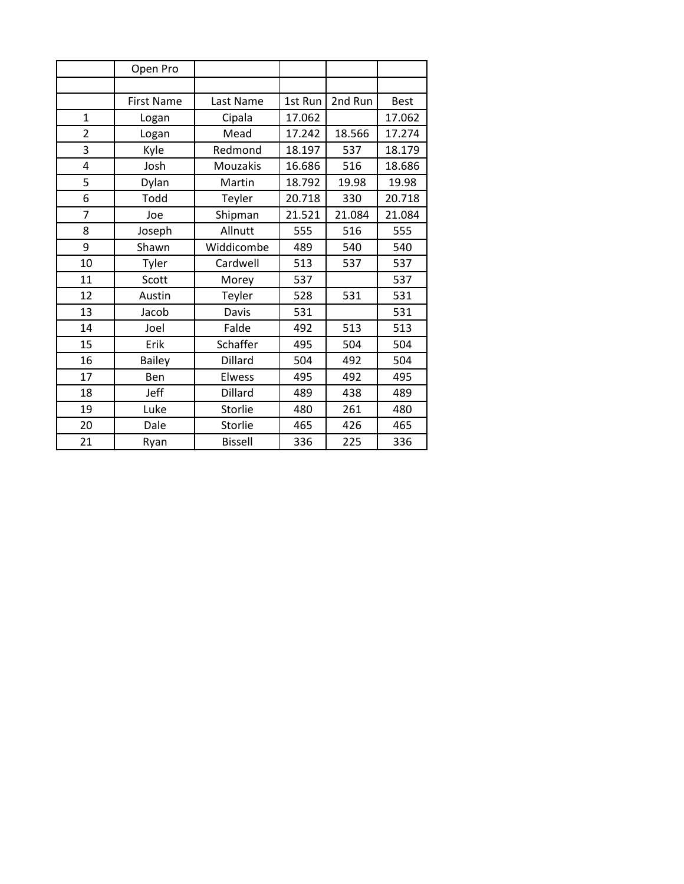|                | Open Pro          |                 |         |         |             |
|----------------|-------------------|-----------------|---------|---------|-------------|
|                |                   |                 |         |         |             |
|                | <b>First Name</b> | Last Name       | 1st Run | 2nd Run | <b>Best</b> |
| $\mathbf{1}$   | Logan             | Cipala          | 17.062  |         | 17.062      |
| $\overline{2}$ | Logan             | Mead            | 17.242  | 18.566  | 17.274      |
| 3              | Kyle              | Redmond         | 18.197  | 537     | 18.179      |
| $\overline{4}$ | Josh              | <b>Mouzakis</b> | 16.686  | 516     | 18.686      |
| 5              | Dylan             | Martin          | 18.792  | 19.98   | 19.98       |
| 6              | Todd              | Teyler          | 20.718  | 330     | 20.718      |
| $\overline{7}$ | Joe               | Shipman         | 21.521  | 21.084  | 21.084      |
| 8              | Joseph            | Allnutt         | 555     | 516     | 555         |
| 9              | Shawn             | Widdicombe      | 489     | 540     | 540         |
| 10             | Tyler             | Cardwell        | 513     | 537     | 537         |
| 11             | Scott             | Morey           | 537     |         | 537         |
| 12             | Austin            | Teyler          | 528     | 531     | 531         |
| 13             | Jacob             | Davis           | 531     |         | 531         |
| 14             | Joel              | Falde           | 492     | 513     | 513         |
| 15             | Erik              | Schaffer        | 495     | 504     | 504         |
| 16             | Bailey            | Dillard         | 504     | 492     | 504         |
| 17             | Ben               | <b>Elwess</b>   | 495     | 492     | 495         |
| 18             | Jeff              | Dillard         | 489     | 438     | 489         |
| 19             | Luke              | Storlie         | 480     | 261     | 480         |
| 20             | Dale              | Storlie         | 465     | 426     | 465         |
| 21             | Ryan              | <b>Bissell</b>  | 336     | 225     | 336         |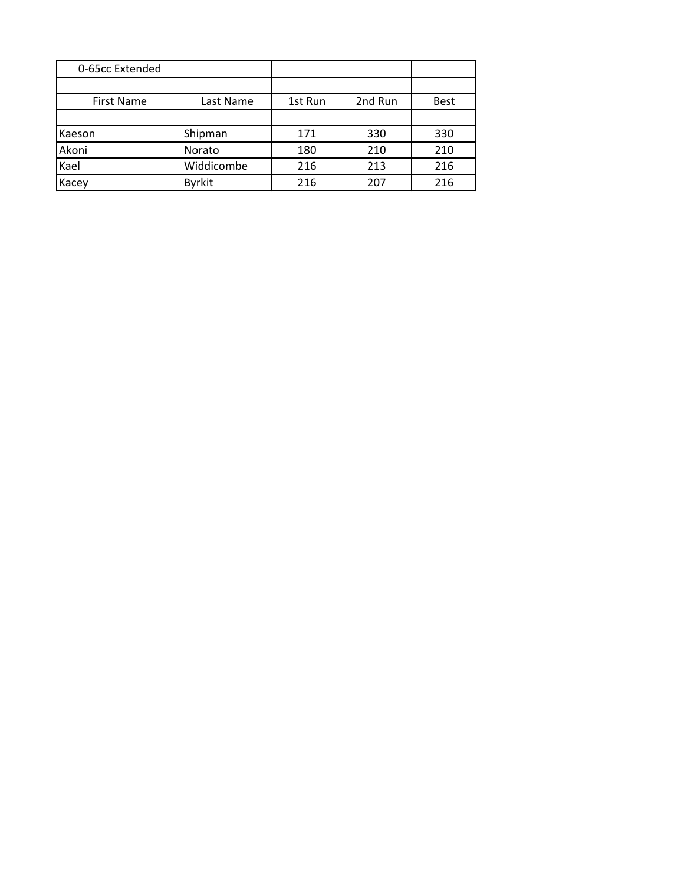| 0-65cc Extended   |               |         |         |             |
|-------------------|---------------|---------|---------|-------------|
|                   |               |         |         |             |
| <b>First Name</b> | Last Name     | 1st Run | 2nd Run | <b>Best</b> |
|                   |               |         |         |             |
| Kaeson            | Shipman       | 171     | 330     | 330         |
| Akoni             | Norato        | 180     | 210     | 210         |
| Kael              | Widdicombe    | 216     | 213     | 216         |
| Kacey             | <b>Byrkit</b> | 216     | 207     | 216         |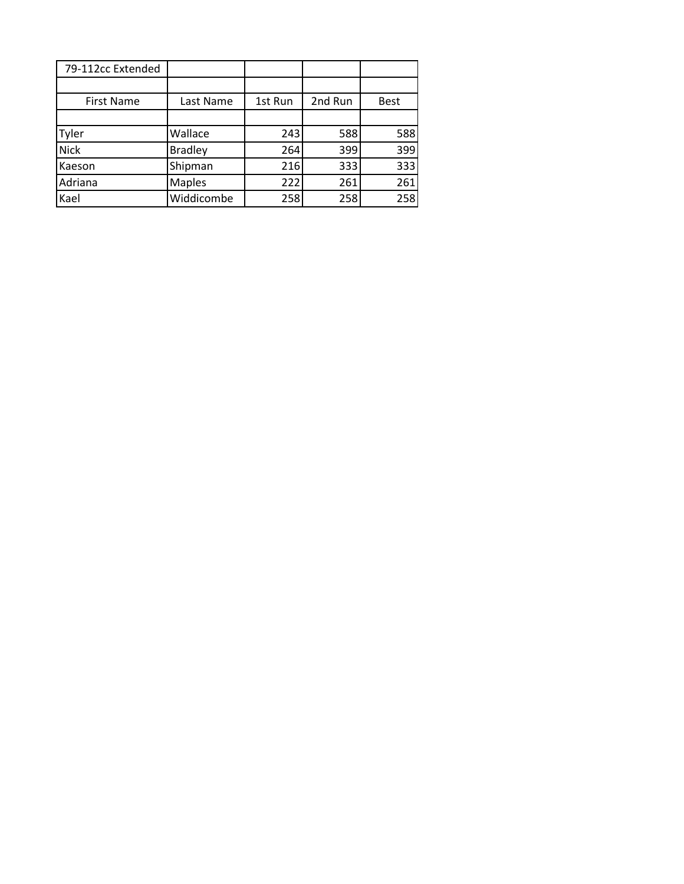| 79-112cc Extended |                |         |         |             |
|-------------------|----------------|---------|---------|-------------|
|                   |                |         |         |             |
| <b>First Name</b> | Last Name      | 1st Run | 2nd Run | <b>Best</b> |
|                   |                |         |         |             |
| Tyler             | Wallace        | 243     | 588     | 588         |
| <b>Nick</b>       | <b>Bradley</b> | 264     | 399     | 399         |
| Kaeson            | Shipman        | 216     | 333     | 333         |
| Adriana           | <b>Maples</b>  | 222     | 261     | 261         |
| Kael              | Widdicombe     | 258     | 258     | 258         |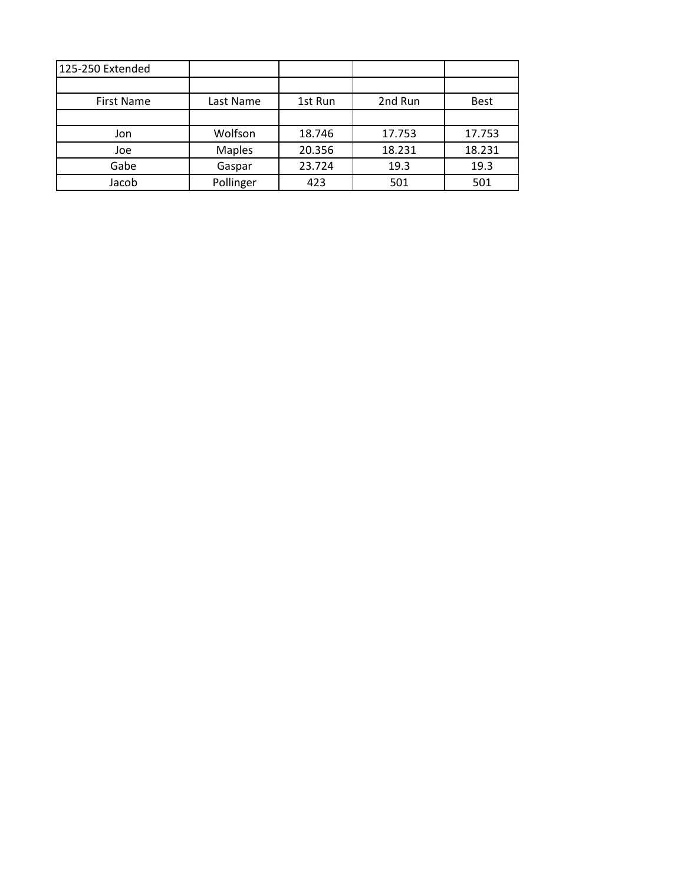| 125-250 Extended  |               |         |         |             |
|-------------------|---------------|---------|---------|-------------|
|                   |               |         |         |             |
| <b>First Name</b> | Last Name     | 1st Run | 2nd Run | <b>Best</b> |
|                   |               |         |         |             |
| Jon               | Wolfson       | 18.746  | 17.753  | 17.753      |
| Joe               | <b>Maples</b> | 20.356  | 18.231  | 18.231      |
| Gabe              | Gaspar        | 23.724  | 19.3    | 19.3        |
| Jacob             | Pollinger     | 423     | 501     | 501         |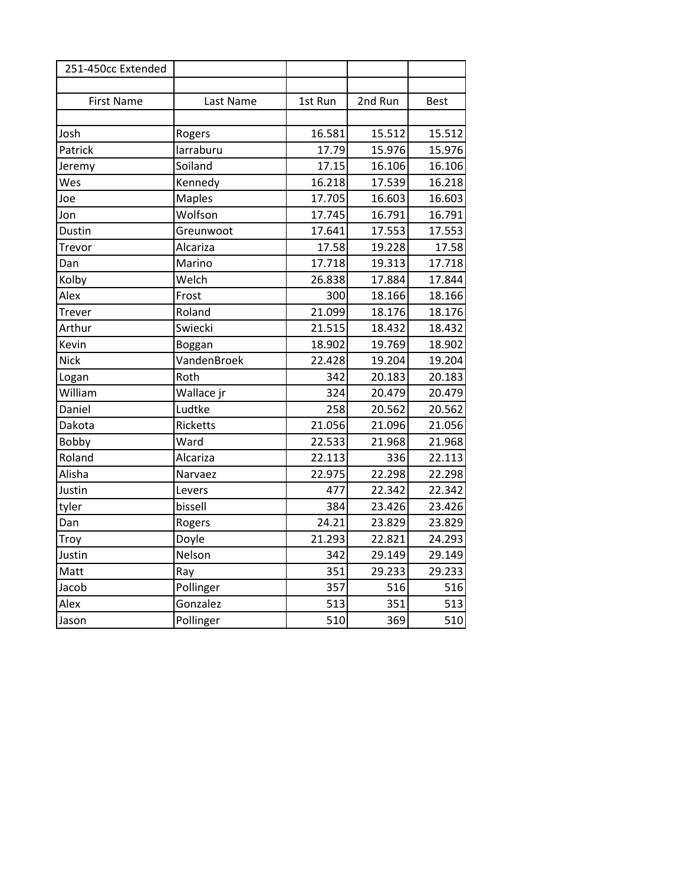| 251-450cc Extended |                 |         |         |             |
|--------------------|-----------------|---------|---------|-------------|
|                    |                 |         |         |             |
| <b>First Name</b>  | Last Name       | 1st Run | 2nd Run | <b>Best</b> |
|                    |                 |         |         |             |
| Josh               | Rogers          | 16.581  | 15.512  | 15.512      |
| Patrick            | larraburu       | 17.79   | 15.976  | 15.976      |
| Jeremy             | Soiland         | 17.15   | 16.106  | 16.106      |
| Wes                | Kennedy         | 16.218  | 17.539  | 16.218      |
| Joe                | <b>Maples</b>   | 17.705  | 16.603  | 16.603      |
| Jon                | Wolfson         | 17.745  | 16.791  | 16.791      |
| Dustin             | Greunwoot       | 17.641  | 17.553  | 17.553      |
| Trevor             | Alcariza        | 17.58   | 19.228  | 17.58       |
| Dan                | Marino          | 17.718  | 19.313  | 17.718      |
| Kolby              | Welch           | 26.838  | 17.884  | 17.844      |
| Alex               | Frost           | 300     | 18.166  | 18.166      |
| Trever             | Roland          | 21.099  | 18.176  | 18.176      |
| Arthur             | Swiecki         | 21.515  | 18.432  | 18.432      |
| Kevin              | Boggan          | 18.902  | 19.769  | 18.902      |
| <b>Nick</b>        | VandenBroek     | 22.428  | 19.204  | 19.204      |
| Logan              | Roth            | 342     | 20.183  | 20.183      |
| William            | Wallace jr      | 324     | 20.479  | 20.479      |
| Daniel             | Ludtke          | 258     | 20.562  | 20.562      |
| Dakota             | <b>Ricketts</b> | 21.056  | 21.096  | 21.056      |
| Bobby              | Ward            | 22.533  | 21.968  | 21.968      |
| Roland             | Alcariza        | 22.113  | 336     | 22.113      |
| Alisha             | Narvaez         | 22.975  | 22.298  | 22.298      |
| Justin             | Levers          | 477     | 22.342  | 22.342      |
| tyler              | bissell         | 384     | 23.426  | 23.426      |
| Dan                | Rogers          | 24.21   | 23.829  | 23.829      |
| Troy               | Doyle           | 21.293  | 22.821  | 24.293      |
| Justin             | Nelson          | 342     | 29.149  | 29.149      |
| Matt               | Ray             | 351     | 29.233  | 29.233      |
| Jacob              | Pollinger       | 357     | 516     | 516         |
| Alex               | Gonzalez        | 513     | 351     | 513         |
| Jason              | Pollinger       | 510     | 369     | 510         |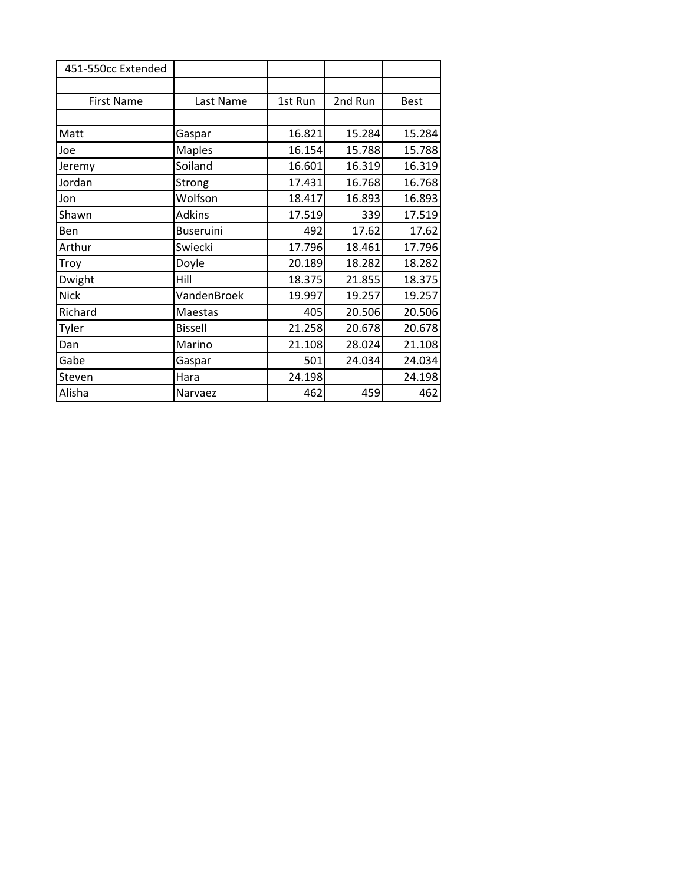| 451-550cc Extended |                  |         |         |             |
|--------------------|------------------|---------|---------|-------------|
|                    |                  |         |         |             |
| <b>First Name</b>  | Last Name        | 1st Run | 2nd Run | <b>Best</b> |
|                    |                  |         |         |             |
| Matt               | Gaspar           | 16.821  | 15.284  | 15.284      |
| Joe                | <b>Maples</b>    | 16.154  | 15.788  | 15.788      |
| Jeremy             | Soiland          | 16.601  | 16.319  | 16.319      |
| Jordan             | Strong           | 17.431  | 16.768  | 16.768      |
| Jon                | Wolfson          | 18.417  | 16.893  | 16.893      |
| Shawn              | <b>Adkins</b>    | 17.519  | 339     | 17.519      |
| Ben                | <b>Buseruini</b> | 492     | 17.62   | 17.62       |
| Arthur             | Swiecki          | 17.796  | 18.461  | 17.796      |
| Troy               | Doyle            | 20.189  | 18.282  | 18.282      |
| Dwight             | Hill             | 18.375  | 21.855  | 18.375      |
| <b>Nick</b>        | VandenBroek      | 19.997  | 19.257  | 19.257      |
| Richard            | Maestas          | 405     | 20.506  | 20.506      |
| Tyler              | <b>Bissell</b>   | 21.258  | 20.678  | 20.678      |
| Dan                | Marino           | 21.108  | 28.024  | 21.108      |
| Gabe               | Gaspar           | 501     | 24.034  | 24.034      |
| Steven             | Hara             | 24.198  |         | 24.198      |
| Alisha             | Narvaez          | 462     | 459     | 462         |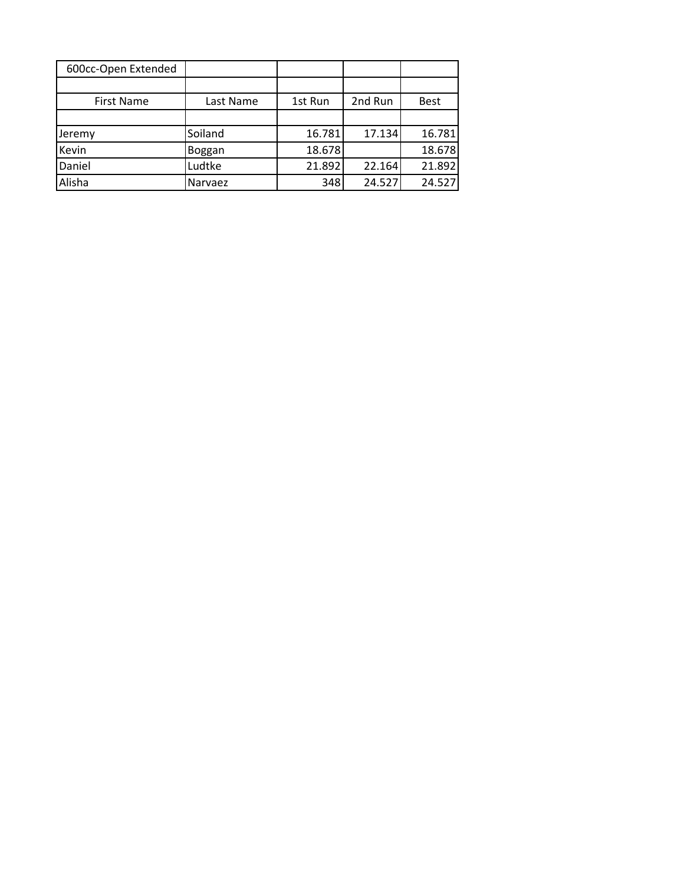| 600cc-Open Extended |           |         |         |             |
|---------------------|-----------|---------|---------|-------------|
|                     |           |         |         |             |
| <b>First Name</b>   | Last Name | 1st Run | 2nd Run | <b>Best</b> |
|                     |           |         |         |             |
| Jeremy              | Soiland   | 16.781  | 17.134  | 16.781      |
| Kevin               | Boggan    | 18.678  |         | 18.678      |
| Daniel              | Ludtke    | 21.892  | 22.164  | 21.892      |
| Alisha              | Narvaez   | 348     | 24.527  | 24.527      |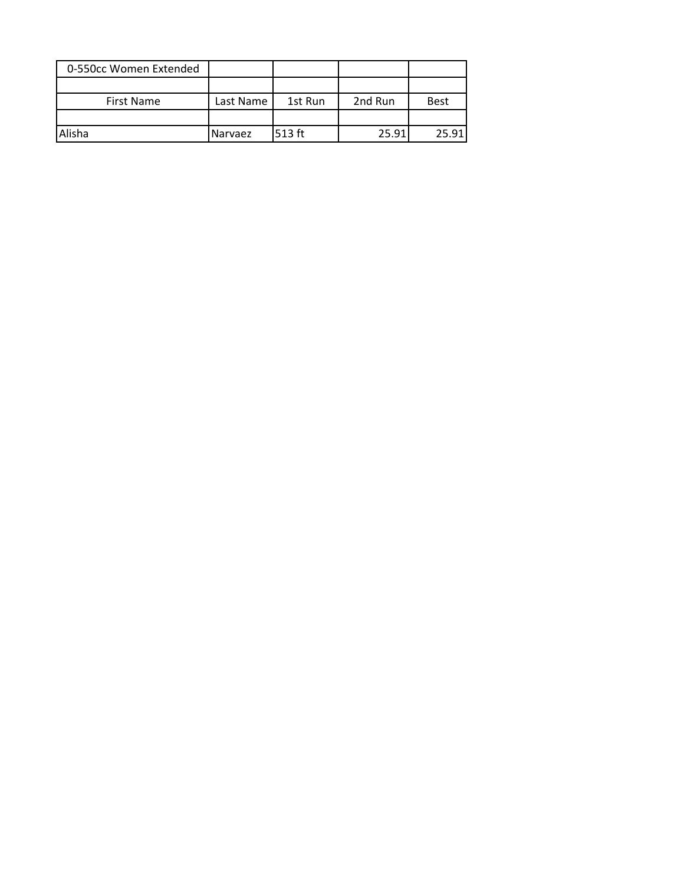| 0-550cc Women Extended |           |         |         |             |
|------------------------|-----------|---------|---------|-------------|
|                        |           |         |         |             |
| <b>First Name</b>      | Last Name | 1st Run | 2nd Run | <b>Best</b> |
|                        |           |         |         |             |
| Alisha                 | Narvaez   | 513 ft  | 25.91   | 25.91       |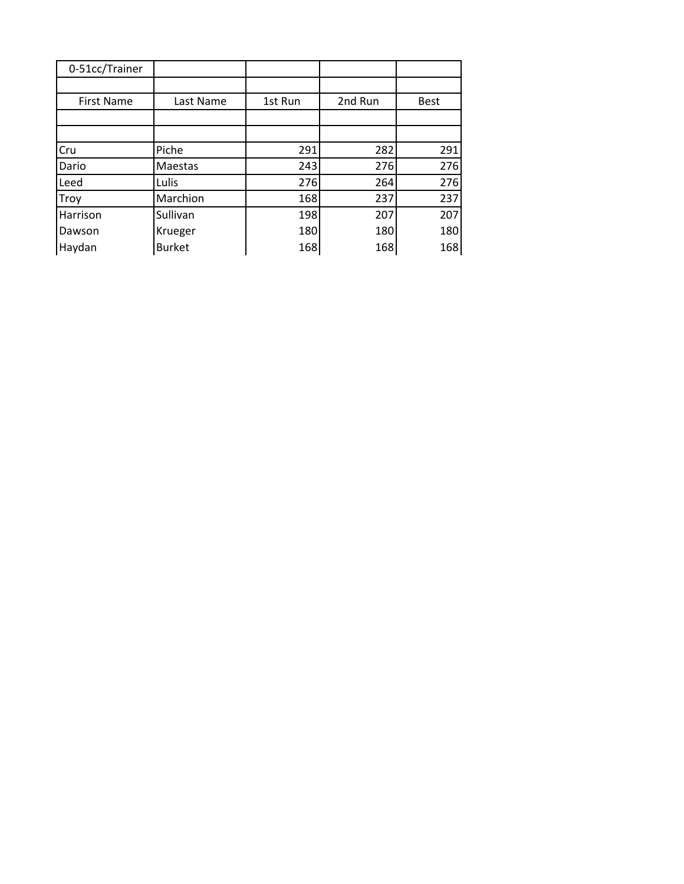| 0-51cc/Trainer    |               |         |         |             |
|-------------------|---------------|---------|---------|-------------|
|                   |               |         |         |             |
| <b>First Name</b> | Last Name     | 1st Run | 2nd Run | <b>Best</b> |
|                   |               |         |         |             |
|                   |               |         |         |             |
| Cru               | Piche         | 291     | 282     | 291         |
| Dario             | Maestas       | 243     | 276     | 276         |
| Leed              | Lulis         | 276     | 264     | 276         |
| Troy              | Marchion      | 168     | 237     | 237         |
| Harrison          | Sullivan      | 198     | 207     | 207         |
| Dawson            | Krueger       | 180     | 180     | 180         |
| Haydan            | <b>Burket</b> | 168     | 168     | 168         |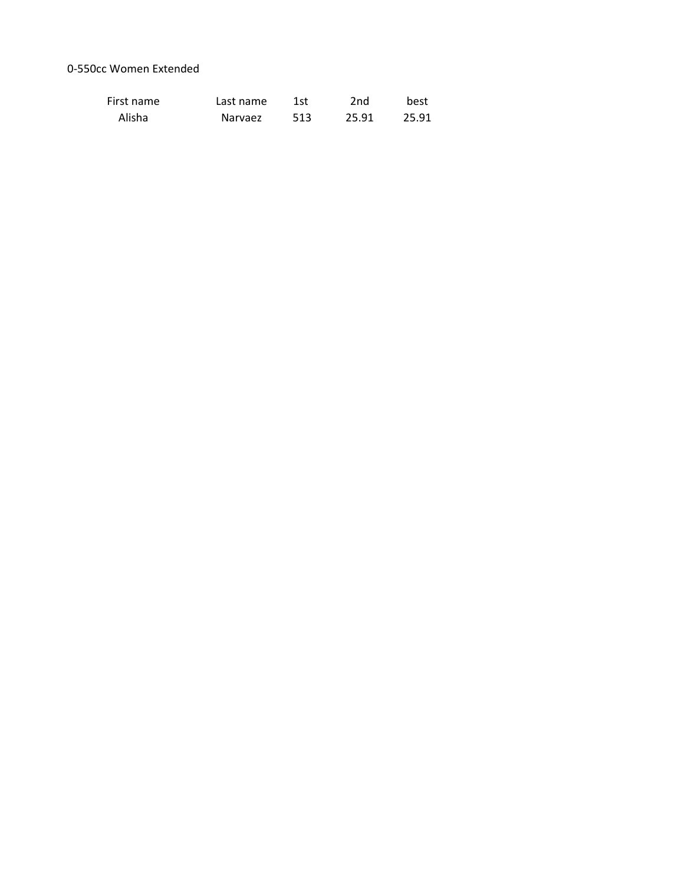## 0-550cc Women Extended

| First name | Last name | 1st | 2nd   | best  |
|------------|-----------|-----|-------|-------|
| Alisha     | Narvaez   | 513 | 25.91 | 25.91 |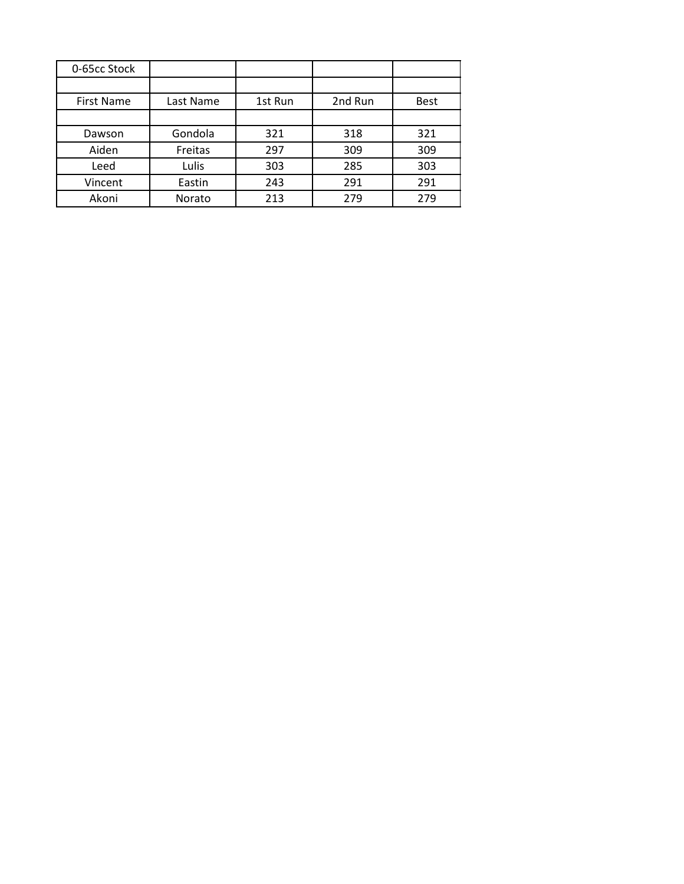| 0-65cc Stock      |           |         |         |             |
|-------------------|-----------|---------|---------|-------------|
|                   |           |         |         |             |
| <b>First Name</b> | Last Name | 1st Run | 2nd Run | <b>Best</b> |
|                   |           |         |         |             |
| Dawson            | Gondola   | 321     | 318     | 321         |
| Aiden             | Freitas   | 297     | 309     | 309         |
| Leed              | Lulis     | 303     | 285     | 303         |
| Vincent           | Eastin    | 243     | 291     | 291         |
| Akoni             | Norato    | 213     | 279     | 279         |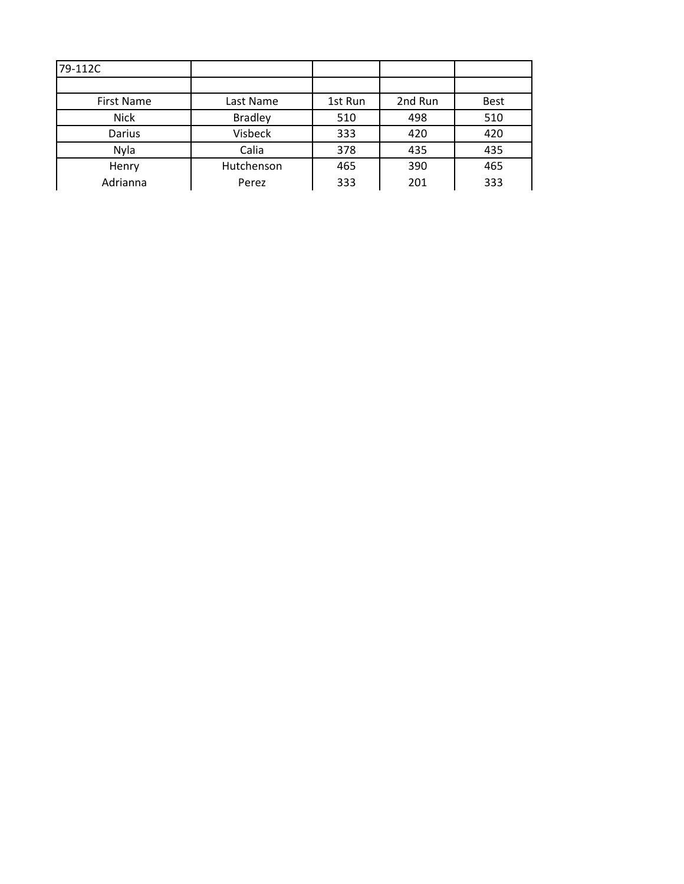| <b>First Name</b> | Last Name      | 1st Run | 2nd Run | Best |
|-------------------|----------------|---------|---------|------|
| <b>Nick</b>       | <b>Bradley</b> | 510     | 498     | 510  |
| Darius            | Visbeck        | 333     | 420     | 420  |
| Nyla              | Calia          | 378     | 435     | 435  |
| Henry             | Hutchenson     | 465     | 390     | 465  |
| Adrianna          | Perez          | 333     | 201     | 333  |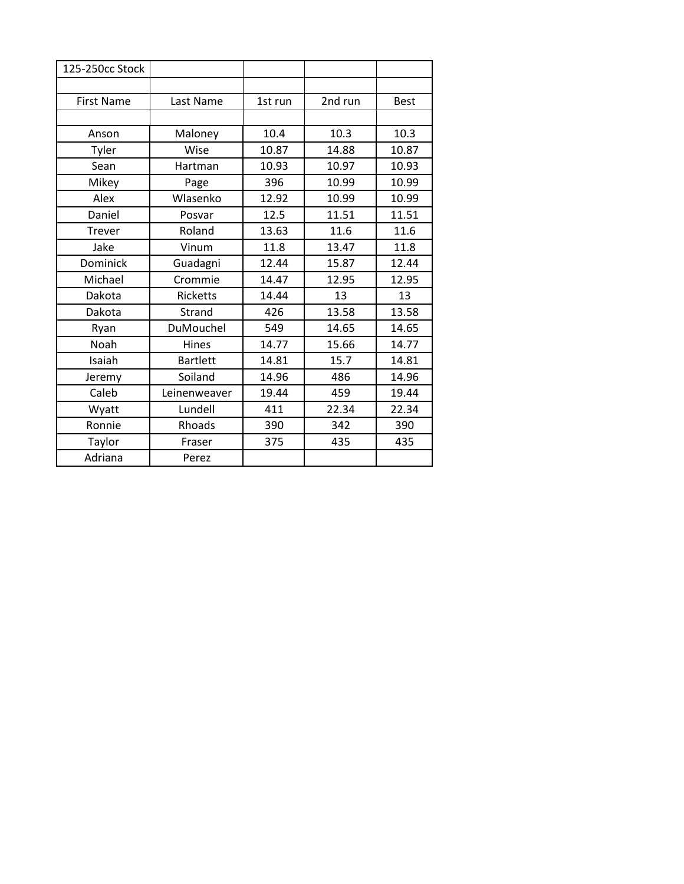| 125-250cc Stock   |                 |         |         |             |
|-------------------|-----------------|---------|---------|-------------|
|                   |                 |         |         |             |
| <b>First Name</b> | Last Name       | 1st run | 2nd run | <b>Best</b> |
|                   |                 |         |         |             |
| Anson             | Maloney         | 10.4    | 10.3    | 10.3        |
| Tyler             | Wise            | 10.87   | 14.88   | 10.87       |
| Sean              | Hartman         | 10.93   | 10.97   | 10.93       |
| Mikey             | Page            | 396     | 10.99   | 10.99       |
| Alex              | Wlasenko        | 12.92   | 10.99   | 10.99       |
| Daniel            | Posvar          | 12.5    | 11.51   | 11.51       |
| Trever            | Roland          | 13.63   | 11.6    | 11.6        |
| Jake              | Vinum           | 11.8    | 13.47   | 11.8        |
| Dominick          | Guadagni        | 12.44   | 15.87   | 12.44       |
| Michael           | Crommie         | 14.47   | 12.95   | 12.95       |
| Dakota            | <b>Ricketts</b> | 14.44   | 13      | 13          |
| Dakota            | Strand          | 426     | 13.58   | 13.58       |
| Ryan              | DuMouchel       | 549     | 14.65   | 14.65       |
| Noah              | Hines           | 14.77   | 15.66   | 14.77       |
| Isaiah            | <b>Bartlett</b> | 14.81   | 15.7    | 14.81       |
| Jeremy            | Soiland         | 14.96   | 486     | 14.96       |
| Caleb             | Leinenweaver    | 19.44   | 459     | 19.44       |
| Wyatt             | Lundell         | 411     | 22.34   | 22.34       |
| Ronnie            | Rhoads          | 390     | 342     | 390         |
| Taylor            | Fraser          | 375     | 435     | 435         |
| Adriana           | Perez           |         |         |             |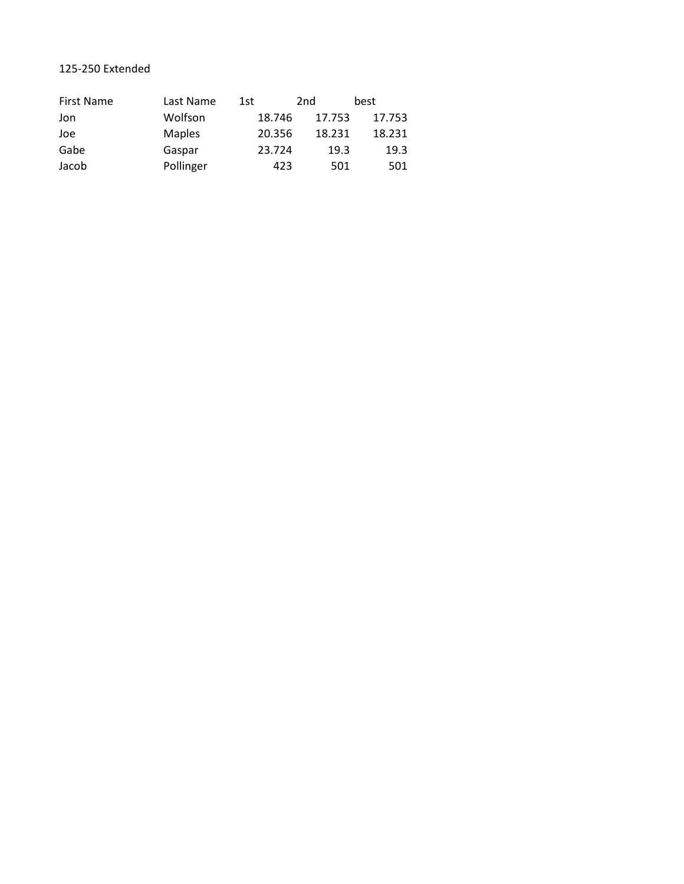## 125-250 Extended

| <b>First Name</b> | Last Name     | 1st    | 2nd    | best   |
|-------------------|---------------|--------|--------|--------|
| Jon               | Wolfson       | 18.746 | 17.753 | 17.753 |
| Joe               | <b>Maples</b> | 20.356 | 18.231 | 18.231 |
| Gabe              | Gaspar        | 23.724 | 19.3   | 19.3   |
| Jacob             | Pollinger     | 423    | 501    | 501    |